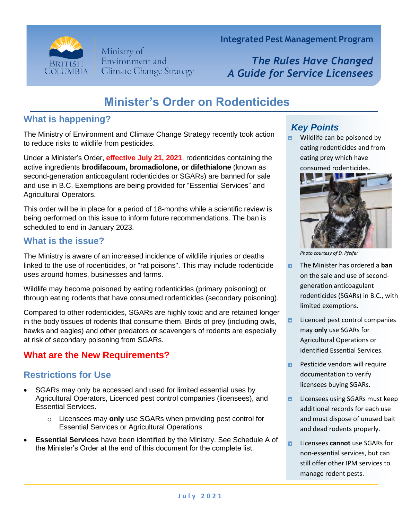

Ministry of Environment and **Climate Change Strategy**  **Integrated Pest Management Program**

*The Rules Have Changed A Guide for Service Licensees*

# **Minister's Order on Rodenticides**

## **What is happening?**

The Ministry of Environment and Climate Change Strategy recently took action to reduce risks to wildlife from pesticides.

Under a Minister's Order, **effective July 21, 2021**, rodenticides containing the active ingredients **brodifacoum, bromadiolone, or difethialone** (known as second-generation anticoagulant rodenticides or SGARs) are banned for sale and use in B.C. Exemptions are being provided for "Essential Services" and Agricultural Operators.

This order will be in place for a period of 18-months while a scientific review is being performed on this issue to inform future recommendations. The ban is scheduled to end in January 2023.

### **What is the issue?**

The Ministry is aware of an increased incidence of wildlife injuries or deaths linked to the use of rodenticides, or "rat poisons". This may include rodenticide uses around homes, businesses and farms.

Wildlife may become poisoned by eating rodenticides (primary poisoning) or through eating rodents that have consumed rodenticides (secondary poisoning).

Compared to other rodenticides, SGARs are highly toxic and are retained longer in the body tissues of rodents that consume them. Birds of prey (including owls, hawks and eagles) and other predators or scavengers of rodents are especially at risk of secondary poisoning from SGARs.

## **What are the New Requirements?**

## **Restrictions for Use**

- SGARs may only be accessed and used for limited essential uses by Agricultural Operators, Licenced pest control companies (licensees), and Essential Services.
	- o Licensees may **only** use SGARs when providing pest control for Essential Services or Agricultural Operations
- **Essential Services** have been identified by the Ministry. See Schedule A of the Minister's Order at the end of this document for the complete list.

## *Key Points*

Wildlife can be poisoned by Ð eating rodenticides and from eating prey which have consumed rodenticides.



*Photo courtesy of D. Pfeifer*

- Ы The Minister has ordered a **ban** on the sale and use of secondgeneration anticoagulant rodenticides (SGARs) in B.C., with limited exemptions.
- Licenced pest control companies Ð. may **only** use SGARs for Agricultural Operations or identified Essential Services.
- Pesticide vendors will require  $\blacksquare$ documentation to verify licensees buying SGARs.
- Ð. Licensees using SGARs must keep additional records for each use and must dispose of unused bait and dead rodents properly.
- Licensees **cannot** use SGARs for Ы non-essential services, but can still offer other IPM services to manage rodent pests.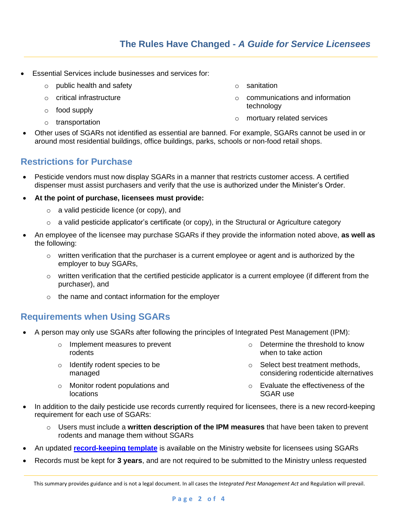- Essential Services include businesses and services for:
	- o public health and safety
	- o critical infrastructure
	- o food supply
	- o transportation
- o sanitation
- o communications and information technology
- o mortuary related services
- Other uses of SGARs not identified as essential are banned. For example, SGARs cannot be used in or around most residential buildings, office buildings, parks, schools or non-food retail shops.

#### **Restrictions for Purchase**

- Pesticide vendors must now display SGARs in a manner that restricts customer access. A certified dispenser must assist purchasers and verify that the use is authorized under the Minister's Order.
- **At the point of purchase, licensees must provide:**
	- o a valid pesticide licence (or copy), and
	- $\circ$  a valid pesticide applicator's certificate (or copy), in the Structural or Agriculture category
- An employee of the licensee may purchase SGARs if they provide the information noted above, **as well as** the following:
	- $\circ$  written verification that the purchaser is a current employee or agent and is authorized by the employer to buy SGARs,
	- $\circ$  written verification that the certified pesticide applicator is a current employee (if different from the purchaser), and
	- o the name and contact information for the employer

#### **Requirements when Using SGARs**

- A person may only use SGARs after following the principles of Integrated Pest Management (IPM):
	- o Implement measures to prevent rodents
	- o Identify rodent species to be managed
	- o Monitor rodent populations and locations
- $\circ$  Determine the threshold to know when to take action
- o Select best treatment methods, considering rodenticide alternatives
- o Evaluate the effectiveness of the SGAR use
- In addition to the daily pesticide use records currently required for licensees, there is a new record-keeping requirement for each use of SGARs:
	- Users must include a **written description of the IPM measures** that have been taken to prevent rodents and manage them without SGARs
- An updated **[record-keeping template](https://www2.gov.bc.ca/assets/download/BC976C81A3DD44E2A3ED4848EEBC4BD9)** is available on the Ministry website for licensees using SGARs
- Records must be kept for **3 years**, and are not required to be submitted to the Ministry unless requested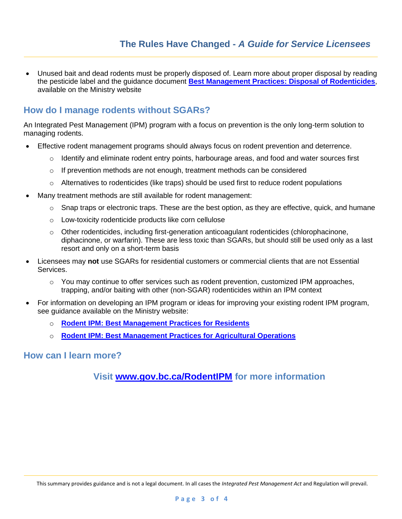• Unused bait and dead rodents must be properly disposed of. Learn more about proper disposal by reading the pesticide label and the guidance document **[Best Management Practices: Disposal of Rodenticides](https://www2.gov.bc.ca/assets/download/5383716EF5D844BBB16B772EF37479B1)**, available on the Ministry website

#### **How do I manage rodents without SGARs?**

An Integrated Pest Management (IPM) program with a focus on prevention is the only long-term solution to managing rodents.

- Effective rodent management programs should always focus on rodent prevention and deterrence.
	- $\circ$  Identify and eliminate rodent entry points, harbourage areas, and food and water sources first
	- $\circ$  If prevention methods are not enough, treatment methods can be considered
	- $\circ$  Alternatives to rodenticides (like traps) should be used first to reduce rodent populations
- Many treatment methods are still available for rodent management:
	- $\circ$  Snap traps or electronic traps. These are the best option, as they are effective, quick, and humane
	- o Low-toxicity rodenticide products like corn cellulose
	- o Other rodenticides, including first-generation anticoagulant rodenticides (chlorophacinone, diphacinone, or warfarin). These are less toxic than SGARs, but should still be used only as a last resort and only on a short-term basis
- Licensees may **not** use SGARs for residential customers or commercial clients that are not Essential Services.
	- $\circ$  You may continue to offer services such as rodent prevention, customized IPM approaches, trapping, and/or baiting with other (non-SGAR) rodenticides within an IPM context
- For information on developing an IPM program or ideas for improving your existing rodent IPM program, see guidance available on the Ministry website:
	- o **[Rodent IPM: Best Management Practices for Residents](https://www2.gov.bc.ca/assets/download/FD50D98100A84174B7FB4F43BEE8CDCC)**
	- o **[Rodent IPM: Best Management Practices for Agricultural Operations](https://www2.gov.bc.ca/assets/download/830931B3BE3842DEB81759284BA9C397)**

#### **How can I learn more?**

#### **Visit [www.gov.bc.ca/RodentIPM](http://www.gov.bc.ca/RodentIPM) for more information**

This summary provides guidance and is not a legal document. In all cases the *Integrated Pest Management Act* and Regulation will prevail.